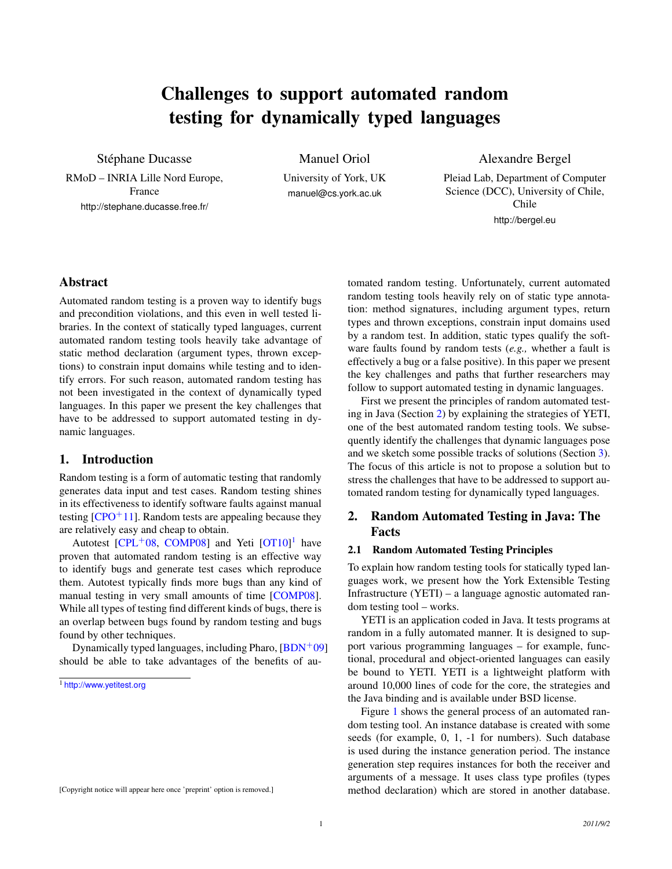# Challenges to support automated random testing for dynamically typed languages

Stéphane Ducasse

RMoD – INRIA Lille Nord Europe, France http://stephane.ducasse.free.fr/

Manuel Oriol

University of York, UK manuel@cs.york.ac.uk

Alexandre Bergel

Pleiad Lab, Department of Computer Science (DCC), University of Chile, Chile http://bergel.eu

# Abstract

Automated random testing is a proven way to identify bugs and precondition violations, and this even in well tested libraries. In the context of statically typed languages, current automated random testing tools heavily take advantage of static method declaration (argument types, thrown exceptions) to constrain input domains while testing and to identify errors. For such reason, automated random testing has not been investigated in the context of dynamically typed languages. In this paper we present the key challenges that have to be addressed to support automated testing in dynamic languages.

# 1. Introduction

Random testing is a form of automatic testing that randomly generates data input and test cases. Random testing shines in its effectiveness to identify software faults against manual testing  $[CPO<sup>+</sup>11]$  $[CPO<sup>+</sup>11]$ . Random tests are appealing because they are relatively easy and cheap to obtain.

Autotest [\[CPL](#page-4-0)<sup>+</sup>08, [COMP08\]](#page-4-1) and Yeti [\[OT10\]](#page-5-1)<sup>[1](#page-0-0)</sup> have proven that automated random testing is an effective way to identify bugs and generate test cases which reproduce them. Autotest typically finds more bugs than any kind of manual testing in very small amounts of time [\[COMP08\]](#page-4-1). While all types of testing find different kinds of bugs, there is an overlap between bugs found by random testing and bugs found by other techniques.

Dynamically typed languages, including Pharo,  $[BDN^+09]$  $[BDN^+09]$ should be able to take advantages of the benefits of automated random testing. Unfortunately, current automated random testing tools heavily rely on of static type annotation: method signatures, including argument types, return types and thrown exceptions, constrain input domains used by a random test. In addition, static types qualify the software faults found by random tests (*e.g.,* whether a fault is effectively a bug or a false positive). In this paper we present the key challenges and paths that further researchers may follow to support automated testing in dynamic languages.

First we present the principles of random automated testing in Java (Section [2\)](#page-0-1) by explaining the strategies of YETI, one of the best automated random testing tools. We subsequently identify the challenges that dynamic languages pose and we sketch some possible tracks of solutions (Section [3\)](#page-2-0). The focus of this article is not to propose a solution but to stress the challenges that have to be addressed to support automated random testing for dynamically typed languages.

# <span id="page-0-1"></span>2. Random Automated Testing in Java: The Facts

## 2.1 Random Automated Testing Principles

To explain how random testing tools for statically typed languages work, we present how the York Extensible Testing Infrastructure (YETI) – a language agnostic automated random testing tool – works.

YETI is an application coded in Java. It tests programs at random in a fully automated manner. It is designed to support various programming languages – for example, functional, procedural and object-oriented languages can easily be bound to YETI. YETI is a lightweight platform with around 10,000 lines of code for the core, the strategies and the Java binding and is available under BSD license.

Figure [1](#page-1-0) shows the general process of an automated random testing tool. An instance database is created with some seeds (for example, 0, 1, -1 for numbers). Such database is used during the instance generation period. The instance generation step requires instances for both the receiver and arguments of a message. It uses class type profiles (types method declaration) which are stored in another database.

<span id="page-0-0"></span><sup>1</sup> <http://www.yetitest.org>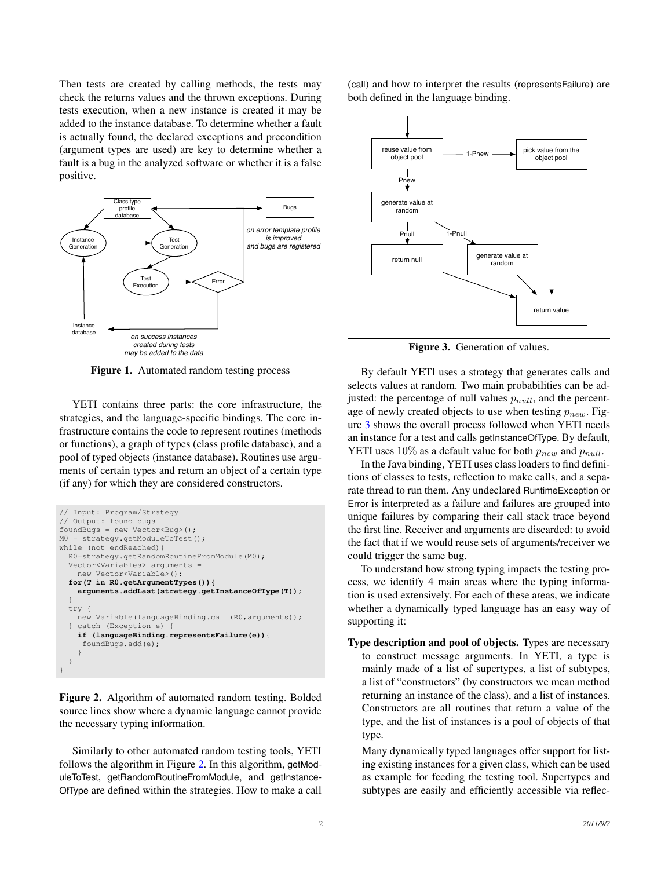Then tests are created by calling methods, the tests may check the returns values and the thrown exceptions. During tests execution, when a new instance is created it may be added to the instance database. To determine whether a fault is actually found, the declared exceptions and precondition (argument types are used) are key to determine whether a fault is a bug in the analyzed software or whether it is a false positive.



<span id="page-1-0"></span>Figure 1. Automated random testing process

YETI contains three parts: the core infrastructure, the strategies, and the language-specific bindings. The core infrastructure contains the code to represent routines (methods or functions), a graph of types (class profile database), and a pool of typed objects (instance database). Routines use arguments of certain types and return an object of a certain type (if any) for which they are considered constructors.

```
// Input: Program/Strategy
// Output: found bugs
foundBugs = new Vector<Bug>();
M0 = strategy.getModuleToTest();
while (not endReached) {
  R0=strategy.getRandomRoutineFromModule(M0);
  Vector<Variables> arguments =
    new Vector<Variable>();
  for(T in R0.getArgumentTypes()){
    arguments.addLast(strategy.getInstanceOfType(T));
  }
 try {
   new Variable(languageBinding.call(R0, arguments));
  } catch (Exception e) {
    if (languageBinding.representsFailure(e)){
     foundBugs.add(e);
    }
  }
}
```
<span id="page-1-1"></span>Figure 2. Algorithm of automated random testing. Bolded source lines show where a dynamic language cannot provide the necessary typing information.

Similarly to other automated random testing tools, YETI follows the algorithm in Figure [2.](#page-1-1) In this algorithm, getModuleToTest, getRandomRoutineFromModule, and getInstance-OfType are defined within the strategies. How to make a call (call) and how to interpret the results (representsFailure) are both defined in the language binding.



<span id="page-1-2"></span>Figure 3. Generation of values.

By default YETI uses a strategy that generates calls and selects values at random. Two main probabilities can be adjusted: the percentage of null values  $p_{null}$ , and the percentage of newly created objects to use when testing  $p_{new}$ . Figure [3](#page-1-2) shows the overall process followed when YETI needs an instance for a test and calls getInstanceOfType. By default, YETI uses 10% as a default value for both  $p_{new}$  and  $p_{null}$ .

In the Java binding, YETI uses class loaders to find definitions of classes to tests, reflection to make calls, and a separate thread to run them. Any undeclared RuntimeException or Error is interpreted as a failure and failures are grouped into unique failures by comparing their call stack trace beyond the first line. Receiver and arguments are discarded: to avoid the fact that if we would reuse sets of arguments/receiver we could trigger the same bug.

To understand how strong typing impacts the testing process, we identify 4 main areas where the typing information is used extensively. For each of these areas, we indicate whether a dynamically typed language has an easy way of supporting it:

Type description and pool of objects. Types are necessary to construct message arguments. In YETI, a type is mainly made of a list of supertypes, a list of subtypes, a list of "constructors" (by constructors we mean method returning an instance of the class), and a list of instances. Constructors are all routines that return a value of the type, and the list of instances is a pool of objects of that type.

Many dynamically typed languages offer support for listing existing instances for a given class, which can be used as example for feeding the testing tool. Supertypes and subtypes are easily and efficiently accessible via reflec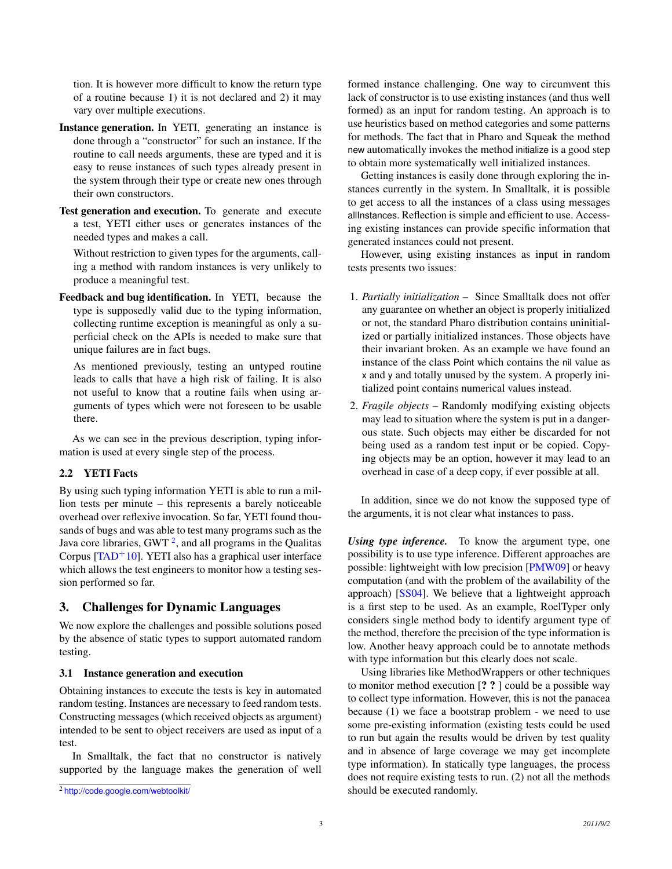tion. It is however more difficult to know the return type of a routine because 1) it is not declared and 2) it may vary over multiple executions.

- Instance generation. In YETI, generating an instance is done through a "constructor" for such an instance. If the routine to call needs arguments, these are typed and it is easy to reuse instances of such types already present in the system through their type or create new ones through their own constructors.
- Test generation and execution. To generate and execute a test, YETI either uses or generates instances of the needed types and makes a call.

Without restriction to given types for the arguments, calling a method with random instances is very unlikely to produce a meaningful test.

Feedback and bug identification. In YETI, because the type is supposedly valid due to the typing information, collecting runtime exception is meaningful as only a superficial check on the APIs is needed to make sure that unique failures are in fact bugs.

As mentioned previously, testing an untyped routine leads to calls that have a high risk of failing. It is also not useful to know that a routine fails when using arguments of types which were not foreseen to be usable there.

As we can see in the previous description, typing information is used at every single step of the process.

# 2.2 YETI Facts

By using such typing information YETI is able to run a million tests per minute – this represents a barely noticeable overhead over reflexive invocation. So far, YETI found thousands of bugs and was able to test many programs such as the Java core libraries, GWT  $^2$  $^2$ , and all programs in the Qualitas Corpus  $[TAD+10]$  $[TAD+10]$ . YETI also has a graphical user interface which allows the test engineers to monitor how a testing session performed so far.

## <span id="page-2-0"></span>3. Challenges for Dynamic Languages

We now explore the challenges and possible solutions posed by the absence of static types to support automated random testing.

## 3.1 Instance generation and execution

Obtaining instances to execute the tests is key in automated random testing. Instances are necessary to feed random tests. Constructing messages (which received objects as argument) intended to be sent to object receivers are used as input of a test.

In Smalltalk, the fact that no constructor is natively supported by the language makes the generation of well formed instance challenging. One way to circumvent this lack of constructor is to use existing instances (and thus well formed) as an input for random testing. An approach is to use heuristics based on method categories and some patterns for methods. The fact that in Pharo and Squeak the method new automatically invokes the method initialize is a good step to obtain more systematically well initialized instances.

Getting instances is easily done through exploring the instances currently in the system. In Smalltalk, it is possible to get access to all the instances of a class using messages allInstances. Reflection is simple and efficient to use. Accessing existing instances can provide specific information that generated instances could not present.

However, using existing instances as input in random tests presents two issues:

- 1. *Partially initialization –* Since Smalltalk does not offer any guarantee on whether an object is properly initialized or not, the standard Pharo distribution contains uninitialized or partially initialized instances. Those objects have their invariant broken. As an example we have found an instance of the class Point which contains the nil value as x and y and totally unused by the system. A properly initialized point contains numerical values instead.
- 2. *Fragile objects –* Randomly modifying existing objects may lead to situation where the system is put in a dangerous state. Such objects may either be discarded for not being used as a random test input or be copied. Copying objects may be an option, however it may lead to an overhead in case of a deep copy, if ever possible at all.

In addition, since we do not know the supposed type of the arguments, it is not clear what instances to pass.

*Using type inference.* To know the argument type, one possibility is to use type inference. Different approaches are possible: lightweight with low precision [\[PMW09\]](#page-5-3) or heavy computation (and with the problem of the availability of the approach) [\[SS04\]](#page-5-4). We believe that a lightweight approach is a first step to be used. As an example, RoelTyper only considers single method body to identify argument type of the method, therefore the precision of the type information is low. Another heavy approach could be to annotate methods with type information but this clearly does not scale.

Using libraries like MethodWrappers or other techniques to monitor method execution [? ? ] could be a possible way to collect type information. However, this is not the panacea because (1) we face a bootstrap problem - we need to use some pre-existing information (existing tests could be used to run but again the results would be driven by test quality and in absence of large coverage we may get incomplete type information). In statically type languages, the process does not require existing tests to run. (2) not all the methods should be executed randomly.

<span id="page-2-1"></span><sup>2</sup> <http://code.google.com/webtoolkit/>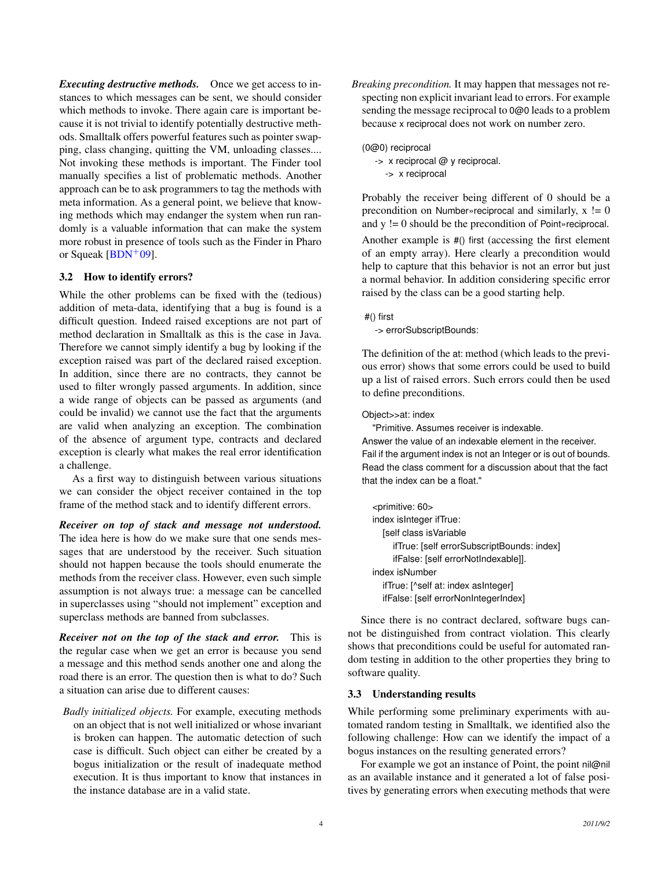*Executing destructive methods.* Once we get access to instances to which messages can be sent, we should consider which methods to invoke. There again care is important because it is not trivial to identify potentially destructive methods. Smalltalk offers powerful features such as pointer swapping, class changing, quitting the VM, unloading classes.... Not invoking these methods is important. The Finder tool manually specifies a list of problematic methods. Another approach can be to ask programmers to tag the methods with meta information. As a general point, we believe that knowing methods which may endanger the system when run randomly is a valuable information that can make the system more robust in presence of tools such as the Finder in Pharo or Squeak  $[BDN^+09]$  $[BDN^+09]$ .

## 3.2 How to identify errors?

While the other problems can be fixed with the (tedious) addition of meta-data, identifying that a bug is found is a difficult question. Indeed raised exceptions are not part of method declaration in Smalltalk as this is the case in Java. Therefore we cannot simply identify a bug by looking if the exception raised was part of the declared raised exception. In addition, since there are no contracts, they cannot be used to filter wrongly passed arguments. In addition, since a wide range of objects can be passed as arguments (and could be invalid) we cannot use the fact that the arguments are valid when analyzing an exception. The combination of the absence of argument type, contracts and declared exception is clearly what makes the real error identification a challenge.

As a first way to distinguish between various situations we can consider the object receiver contained in the top frame of the method stack and to identify different errors.

*Receiver on top of stack and message not understood.* The idea here is how do we make sure that one sends messages that are understood by the receiver. Such situation should not happen because the tools should enumerate the methods from the receiver class. However, even such simple assumption is not always true: a message can be cancelled in superclasses using "should not implement" exception and superclass methods are banned from subclasses.

*Receiver not on the top of the stack and error.* This is the regular case when we get an error is because you send a message and this method sends another one and along the road there is an error. The question then is what to do? Such a situation can arise due to different causes:

*Badly initialized objects.* For example, executing methods on an object that is not well initialized or whose invariant is broken can happen. The automatic detection of such case is difficult. Such object can either be created by a bogus initialization or the result of inadequate method execution. It is thus important to know that instances in the instance database are in a valid state.

*Breaking precondition.* It may happen that messages not respecting non explicit invariant lead to errors. For example sending the message reciprocal to 0@0 leads to a problem because x reciprocal does not work on number zero.

(0@0) reciprocal

-> x reciprocal @ y reciprocal. -> x reciprocal

Probably the receiver being different of 0 should be a precondition on Number» reciprocal and similarly,  $x := 0$ and y != 0 should be the precondition of Point»reciprocal.

Another example is #() first (accessing the first element of an empty array). Here clearly a precondition would help to capture that this behavior is not an error but just a normal behavior. In addition considering specific error raised by the class can be a good starting help.

#### #() first

-> errorSubscriptBounds:

The definition of the at: method (which leads to the previous error) shows that some errors could be used to build up a list of raised errors. Such errors could then be used to define preconditions.

## Object>>at: index

"Primitive. Assumes receiver is indexable.

Answer the value of an indexable element in the receiver. Fail if the argument index is not an Integer or is out of bounds. Read the class comment for a discussion about that the fact that the index can be a float."

<primitive: 60> index isInteger ifTrue: [self class isVariable ifTrue: [self errorSubscriptBounds: index] ifFalse: [self errorNotIndexable]]. index isNumber ifTrue: [^self at: index asInteger] ifFalse: [self errorNonIntegerIndex]

Since there is no contract declared, software bugs cannot be distinguished from contract violation. This clearly shows that preconditions could be useful for automated random testing in addition to the other properties they bring to software quality.

#### 3.3 Understanding results

While performing some preliminary experiments with automated random testing in Smalltalk, we identified also the following challenge: How can we identify the impact of a bogus instances on the resulting generated errors?

For example we got an instance of Point, the point nil@nil as an available instance and it generated a lot of false positives by generating errors when executing methods that were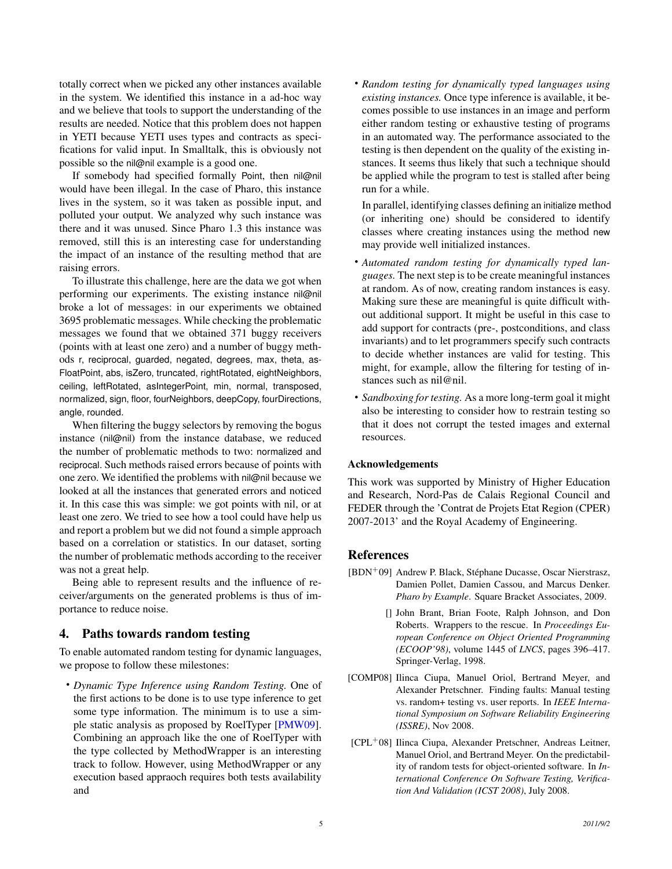totally correct when we picked any other instances available in the system. We identified this instance in a ad-hoc way and we believe that tools to support the understanding of the results are needed. Notice that this problem does not happen in YETI because YETI uses types and contracts as specifications for valid input. In Smalltalk, this is obviously not possible so the nil@nil example is a good one.

If somebody had specified formally Point, then nil@nil would have been illegal. In the case of Pharo, this instance lives in the system, so it was taken as possible input, and polluted your output. We analyzed why such instance was there and it was unused. Since Pharo 1.3 this instance was removed, still this is an interesting case for understanding the impact of an instance of the resulting method that are raising errors.

To illustrate this challenge, here are the data we got when performing our experiments. The existing instance nil@nil broke a lot of messages: in our experiments we obtained 3695 problematic messages. While checking the problematic messages we found that we obtained 371 buggy receivers (points with at least one zero) and a number of buggy methods r, reciprocal, guarded, negated, degrees, max, theta, as-FloatPoint, abs, isZero, truncated, rightRotated, eightNeighbors, ceiling, leftRotated, asIntegerPoint, min, normal, transposed, normalized, sign, floor, fourNeighbors, deepCopy, fourDirections, angle, rounded.

When filtering the buggy selectors by removing the bogus instance (nil@nil) from the instance database, we reduced the number of problematic methods to two: normalized and reciprocal. Such methods raised errors because of points with one zero. We identified the problems with nil@nil because we looked at all the instances that generated errors and noticed it. In this case this was simple: we got points with nil, or at least one zero. We tried to see how a tool could have help us and report a problem but we did not found a simple approach based on a correlation or statistics. In our dataset, sorting the number of problematic methods according to the receiver was not a great help.

Being able to represent results and the influence of receiver/arguments on the generated problems is thus of importance to reduce noise.

# 4. Paths towards random testing

To enable automated random testing for dynamic languages, we propose to follow these milestones:

• *Dynamic Type Inference using Random Testing.* One of the first actions to be done is to use type inference to get some type information. The minimum is to use a simple static analysis as proposed by RoelTyper [\[PMW09\]](#page-5-3). Combining an approach like the one of RoelTyper with the type collected by MethodWrapper is an interesting track to follow. However, using MethodWrapper or any execution based appraoch requires both tests availability and

• *Random testing for dynamically typed languages using existing instances.* Once type inference is available, it becomes possible to use instances in an image and perform either random testing or exhaustive testing of programs in an automated way. The performance associated to the testing is then dependent on the quality of the existing instances. It seems thus likely that such a technique should be applied while the program to test is stalled after being run for a while.

In parallel, identifying classes defining an initialize method (or inheriting one) should be considered to identify classes where creating instances using the method new may provide well initialized instances.

- *Automated random testing for dynamically typed languages.* The next step is to be create meaningful instances at random. As of now, creating random instances is easy. Making sure these are meaningful is quite difficult without additional support. It might be useful in this case to add support for contracts (pre-, postconditions, and class invariants) and to let programmers specify such contracts to decide whether instances are valid for testing. This might, for example, allow the filtering for testing of instances such as nil@nil.
- *Sandboxing for testing.* As a more long-term goal it might also be interesting to consider how to restrain testing so that it does not corrupt the tested images and external resources.

#### Acknowledgements

This work was supported by Ministry of Higher Education and Research, Nord-Pas de Calais Regional Council and FEDER through the 'Contrat de Projets Etat Region (CPER) 2007-2013' and the Royal Academy of Engineering.

## References

- <span id="page-4-2"></span>[BDN<sup>+</sup>09] Andrew P. Black, Stéphane Ducasse, Oscar Nierstrasz, Damien Pollet, Damien Cassou, and Marcus Denker. *Pharo by Example*. Square Bracket Associates, 2009.
	- [] John Brant, Brian Foote, Ralph Johnson, and Don Roberts. Wrappers to the rescue. In *Proceedings European Conference on Object Oriented Programming (ECOOP'98)*, volume 1445 of *LNCS*, pages 396–417. Springer-Verlag, 1998.
- <span id="page-4-1"></span>[COMP08] Ilinca Ciupa, Manuel Oriol, Bertrand Meyer, and Alexander Pretschner. Finding faults: Manual testing vs. random+ testing vs. user reports. In *IEEE International Symposium on Software Reliability Engineering (ISSRE)*, Nov 2008.
- <span id="page-4-0"></span>[CPL<sup>+</sup>08] Ilinca Ciupa, Alexander Pretschner, Andreas Leitner, Manuel Oriol, and Bertrand Meyer. On the predictability of random tests for object-oriented software. In *International Conference On Software Testing, Verification And Validation (ICST 2008)*, July 2008.